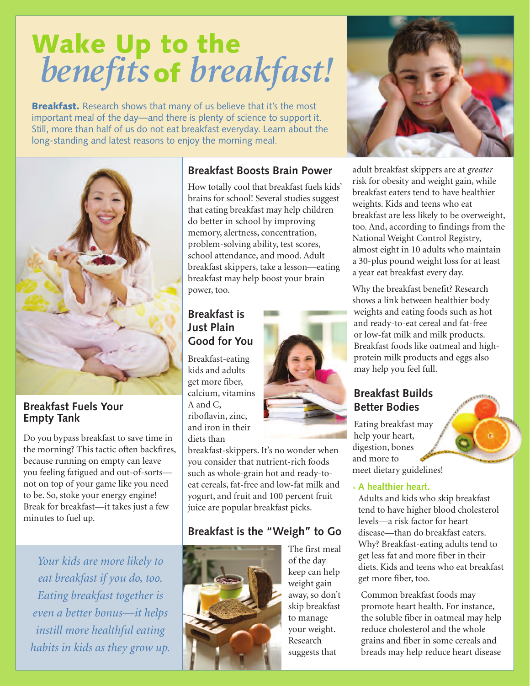# **Wake Up to the of** *benefits breakfast!*

**Breakfast.** Research shows that many of us believe that it's the most important meal of the day—and there is plenty of science to support it. Still, more than half of us do not eat breakfast everyday. Learn about the long-standing and latest reasons to enjoy the morning meal.



### **Breakfast Fuels Your Empty Tank**

Do you bypass breakfast to save time in the morning? This tactic often backfires, because running on empty can leave you feeling fatigued and out-of-sorts not on top of your game like you need to be. So, stoke your energy engine! Break for breakfast—it takes just a few minutes to fuel up.

*Your kids are more likely to eat breakfast if you do, too. Eating breakfast together is even a better bonus—it helps instill more healthful eating habits in kids as they grow up.*

## **Breakfast Boosts Brain Power**

How totally cool that breakfast fuels kids' brains for school! Several studies suggest that eating breakfast may help children do better in school by improving memory, alertness, concentration, problem-solving ability, test scores, school attendance, and mood. Adult breakfast skippers, take a lesson—eating breakfast may help boost your brain power, too.

## **Breakfast is Just Plain Good for You**

Breakfast-eating kids and adults get more fiber, calcium, vitamins A and C, riboflavin, zinc, and iron in their diets than



breakfast-skippers. It's no wonder when you consider that nutrient-rich foods such as whole-grain hot and ready-toeat cereals, fat-free and low-fat milk and yogurt, and fruit and 100 percent fruit juice are popular breakfast picks.

# **Breakfast is the "Weigh" to Go**



The first meal of the day keep can help weight gain away, so don't skip breakfast to manage your weight. Research suggests that



adult breakfast skippers are at *greater* risk for obesity and weight gain, while breakfast eaters tend to have healthier weights. Kids and teens who eat breakfast are less likely to be overweight, too. And, according to findings from the National Weight Control Registry, almost eight in 10 adults who maintain a 30-plus pound weight loss for at least a year eat breakfast every day.

Why the breakfast benefit? Research shows a link between healthier body weights and eating foods such as hot and ready-to-eat cereal and fat-free or low-fat milk and milk products. Breakfast foods like oatmeal and highprotein milk products and eggs also may help you feel full.

# **Breakfast Builds Better Bodies**

Eating breakfast may help your heart, digestion, bones and more to meet dietary guidelines!

#### • **A healthier heart.**

Adults and kids who skip breakfast tend to have higher blood cholesterol levels—a risk factor for heart disease—than do breakfast eaters. Why? Breakfast-eating adults tend to get less fat and more fiber in their diets. Kids and teens who eat breakfast get more fiber, too.

Common breakfast foods may promote heart health. For instance, the soluble fiber in oatmeal may help reduce cholesterol and the whole grains and fiber in some cereals and breads may help reduce heart disease